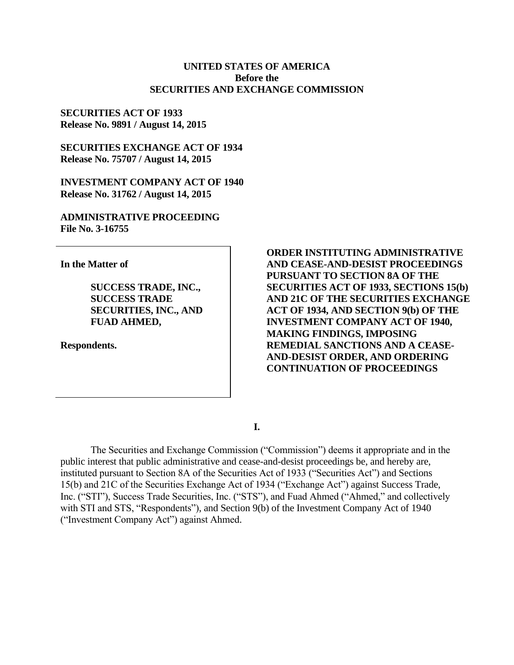### **UNITED STATES OF AMERICA Before the SECURITIES AND EXCHANGE COMMISSION**

**SECURITIES ACT OF 1933 Release No. 9891 / August 14, 2015**

**SECURITIES EXCHANGE ACT OF 1934 Release No. 75707 / August 14, 2015**

**INVESTMENT COMPANY ACT OF 1940 Release No. 31762 / August 14, 2015**

**ADMINISTRATIVE PROCEEDING File No. 3-16755**

**In the Matter of**

**SUCCESS TRADE, INC., SUCCESS TRADE SECURITIES, INC., AND FUAD AHMED,**

**Respondents.**

**ORDER INSTITUTING ADMINISTRATIVE AND CEASE-AND-DESIST PROCEEDINGS PURSUANT TO SECTION 8A OF THE SECURITIES ACT OF 1933, SECTIONS 15(b) AND 21C OF THE SECURITIES EXCHANGE ACT OF 1934, AND SECTION 9(b) OF THE INVESTMENT COMPANY ACT OF 1940, MAKING FINDINGS, IMPOSING REMEDIAL SANCTIONS AND A CEASE-AND-DESIST ORDER, AND ORDERING CONTINUATION OF PROCEEDINGS**

**I.**

The Securities and Exchange Commission ("Commission") deems it appropriate and in the public interest that public administrative and cease-and-desist proceedings be, and hereby are, instituted pursuant to Section 8A of the Securities Act of 1933 ("Securities Act") and Sections 15(b) and 21C of the Securities Exchange Act of 1934 ("Exchange Act") against Success Trade, Inc. ("STI"), Success Trade Securities, Inc. ("STS"), and Fuad Ahmed ("Ahmed," and collectively with STI and STS, "Respondents"), and Section 9(b) of the Investment Company Act of 1940 ("Investment Company Act") against Ahmed.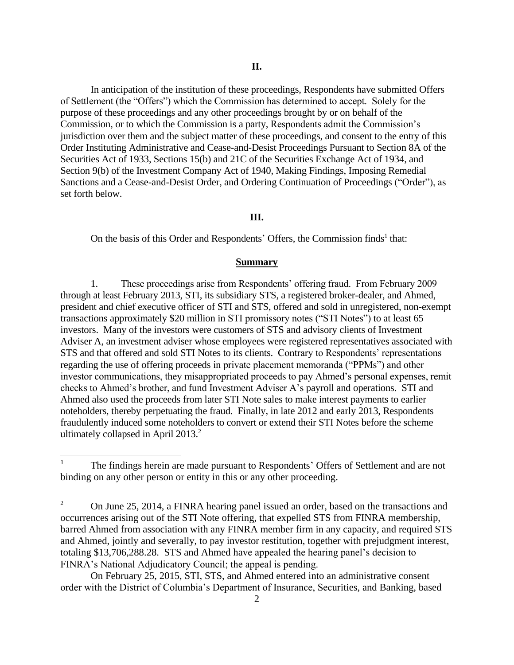In anticipation of the institution of these proceedings, Respondents have submitted Offers of Settlement (the "Offers") which the Commission has determined to accept. Solely for the purpose of these proceedings and any other proceedings brought by or on behalf of the Commission, or to which the Commission is a party, Respondents admit the Commission's jurisdiction over them and the subject matter of these proceedings, and consent to the entry of this Order Instituting Administrative and Cease-and-Desist Proceedings Pursuant to Section 8A of the Securities Act of 1933, Sections 15(b) and 21C of the Securities Exchange Act of 1934, and Section 9(b) of the Investment Company Act of 1940, Making Findings, Imposing Remedial Sanctions and a Cease-and-Desist Order, and Ordering Continuation of Proceedings ("Order"), as set forth below.

## **III.**

On the basis of this Order and Respondents' Offers, the Commission finds<sup>1</sup> that:

#### **Summary**

1. These proceedings arise from Respondents' offering fraud. From February 2009 through at least February 2013, STI, its subsidiary STS, a registered broker-dealer, and Ahmed, president and chief executive officer of STI and STS, offered and sold in unregistered, non-exempt transactions approximately \$20 million in STI promissory notes ("STI Notes") to at least 65 investors. Many of the investors were customers of STS and advisory clients of Investment Adviser A, an investment adviser whose employees were registered representatives associated with STS and that offered and sold STI Notes to its clients. Contrary to Respondents' representations regarding the use of offering proceeds in private placement memoranda ("PPMs") and other investor communications, they misappropriated proceeds to pay Ahmed's personal expenses, remit checks to Ahmed's brother, and fund Investment Adviser A's payroll and operations. STI and Ahmed also used the proceeds from later STI Note sales to make interest payments to earlier noteholders, thereby perpetuating the fraud. Finally, in late 2012 and early 2013, Respondents fraudulently induced some noteholders to convert or extend their STI Notes before the scheme ultimately collapsed in April 2013.<sup>2</sup>

On February 25, 2015, STI, STS, and Ahmed entered into an administrative consent order with the District of Columbia's Department of Insurance, Securities, and Banking, based

 $\frac{1}{1}$ The findings herein are made pursuant to Respondents' Offers of Settlement and are not binding on any other person or entity in this or any other proceeding.

<sup>&</sup>lt;sup>2</sup> On June 25, 2014, a FINRA hearing panel issued an order, based on the transactions and occurrences arising out of the STI Note offering, that expelled STS from FINRA membership, barred Ahmed from association with any FINRA member firm in any capacity, and required STS and Ahmed, jointly and severally, to pay investor restitution, together with prejudgment interest, totaling \$13,706,288.28. STS and Ahmed have appealed the hearing panel's decision to FINRA's National Adjudicatory Council; the appeal is pending.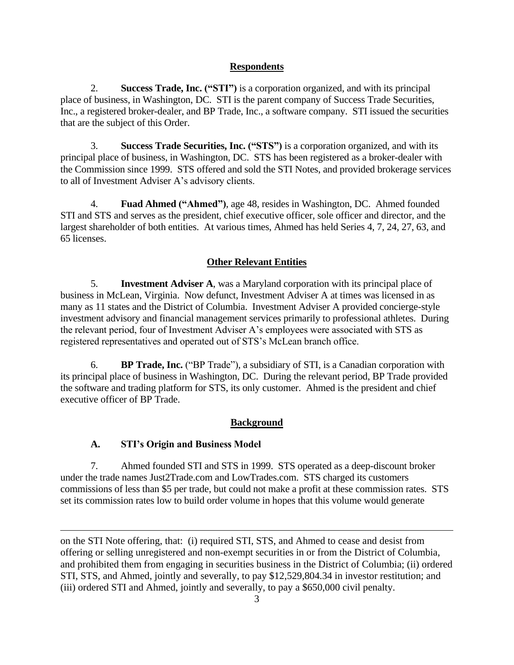# **Respondents**

2. **Success Trade, Inc. ("STI")** is a corporation organized, and with its principal place of business, in Washington, DC. STI is the parent company of Success Trade Securities, Inc., a registered broker-dealer, and BP Trade, Inc., a software company. STI issued the securities that are the subject of this Order.

3. **Success Trade Securities, Inc. ("STS")** is a corporation organized, and with its principal place of business, in Washington, DC. STS has been registered as a broker-dealer with the Commission since 1999. STS offered and sold the STI Notes, and provided brokerage services to all of Investment Adviser A's advisory clients.

4. **Fuad Ahmed ("Ahmed")**, age 48, resides in Washington, DC. Ahmed founded STI and STS and serves as the president, chief executive officer, sole officer and director, and the largest shareholder of both entities. At various times, Ahmed has held Series 4, 7, 24, 27, 63, and 65 licenses.

# **Other Relevant Entities**

5. **Investment Adviser A**, was a Maryland corporation with its principal place of business in McLean, Virginia. Now defunct, Investment Adviser A at times was licensed in as many as 11 states and the District of Columbia. Investment Adviser A provided concierge-style investment advisory and financial management services primarily to professional athletes.During the relevant period, four of Investment Adviser A's employees were associated with STS as registered representatives and operated out of STS's McLean branch office.

6. **BP Trade, Inc.** ("BP Trade"), a subsidiary of STI, is a Canadian corporation with its principal place of business in Washington, DC. During the relevant period, BP Trade provided the software and trading platform for STS, its only customer. Ahmed is the president and chief executive officer of BP Trade.

# **Background**

## **A. STI's Origin and Business Model**

 $\overline{a}$ 

7. Ahmed founded STI and STS in 1999. STS operated as a deep-discount broker under the trade names Just2Trade.com and LowTrades.com. STS charged its customers commissions of less than \$5 per trade, but could not make a profit at these commission rates. STS set its commission rates low to build order volume in hopes that this volume would generate

on the STI Note offering, that: (i) required STI, STS, and Ahmed to cease and desist from offering or selling unregistered and non-exempt securities in or from the District of Columbia, and prohibited them from engaging in securities business in the District of Columbia; (ii) ordered STI, STS, and Ahmed, jointly and severally, to pay \$12,529,804.34 in investor restitution; and (iii) ordered STI and Ahmed, jointly and severally, to pay a \$650,000 civil penalty.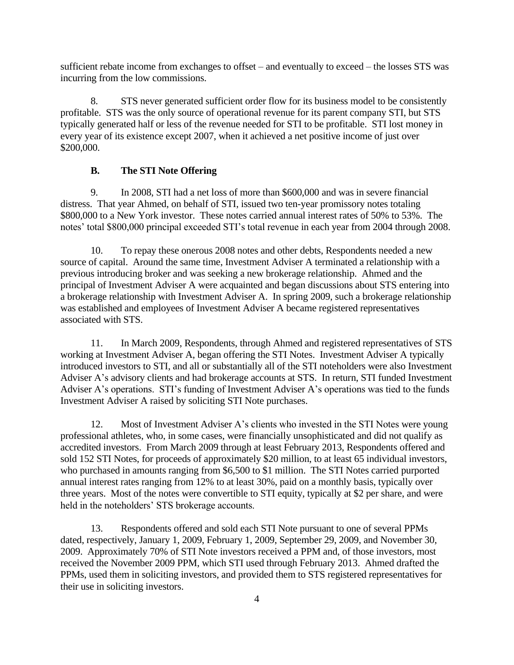sufficient rebate income from exchanges to offset – and eventually to exceed – the losses STS was incurring from the low commissions.

8. STS never generated sufficient order flow for its business model to be consistently profitable. STS was the only source of operational revenue for its parent company STI, but STS typically generated half or less of the revenue needed for STI to be profitable. STI lost money in every year of its existence except 2007, when it achieved a net positive income of just over \$200,000.

### **B. The STI Note Offering**

9. In 2008, STI had a net loss of more than \$600,000 and was in severe financial distress. That year Ahmed, on behalf of STI, issued two ten-year promissory notes totaling \$800,000 to a New York investor. These notes carried annual interest rates of 50% to 53%. The notes' total \$800,000 principal exceeded STI's total revenue in each year from 2004 through 2008.

10. To repay these onerous 2008 notes and other debts, Respondents needed a new source of capital. Around the same time, Investment Adviser A terminated a relationship with a previous introducing broker and was seeking a new brokerage relationship. Ahmed and the principal of Investment Adviser A were acquainted and began discussions about STS entering into a brokerage relationship with Investment Adviser A. In spring 2009, such a brokerage relationship was established and employees of Investment Adviser A became registered representatives associated with STS.

11. In March 2009, Respondents, through Ahmed and registered representatives of STS working at Investment Adviser A, began offering the STI Notes. Investment Adviser A typically introduced investors to STI, and all or substantially all of the STI noteholders were also Investment Adviser A's advisory clients and had brokerage accounts at STS. In return, STI funded Investment Adviser A's operations. STI's funding of Investment Adviser A's operations was tied to the funds Investment Adviser A raised by soliciting STI Note purchases.

12. Most of Investment Adviser A's clients who invested in the STI Notes were young professional athletes, who, in some cases, were financially unsophisticated and did not qualify as accredited investors. From March 2009 through at least February 2013, Respondents offered and sold 152 STI Notes, for proceeds of approximately \$20 million, to at least 65 individual investors, who purchased in amounts ranging from \$6,500 to \$1 million. The STI Notes carried purported annual interest rates ranging from 12% to at least 30%, paid on a monthly basis, typically over three years. Most of the notes were convertible to STI equity, typically at \$2 per share, and were held in the noteholders' STS brokerage accounts.

13. Respondents offered and sold each STI Note pursuant to one of several PPMs dated, respectively, January 1, 2009, February 1, 2009, September 29, 2009, and November 30, 2009. Approximately 70% of STI Note investors received a PPM and, of those investors, most received the November 2009 PPM, which STI used through February 2013. Ahmed drafted the PPMs, used them in soliciting investors, and provided them to STS registered representatives for their use in soliciting investors.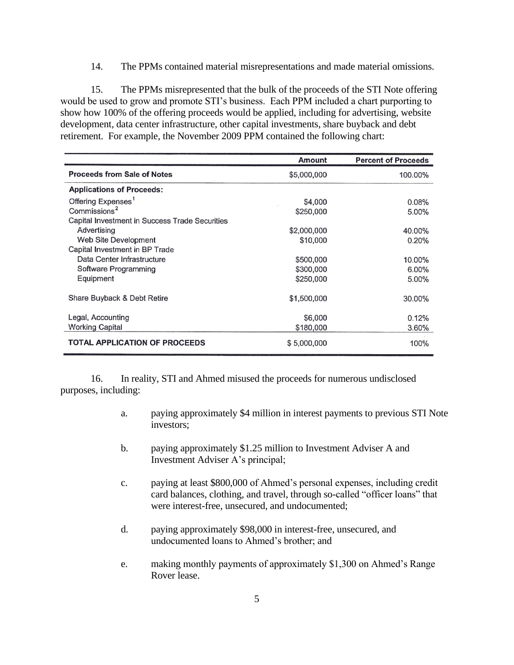14. The PPMs contained material misrepresentations and made material omissions.

15. The PPMs misrepresented that the bulk of the proceeds of the STI Note offering would be used to grow and promote STI's business. Each PPM included a chart purporting to show how 100% of the offering proceeds would be applied, including for advertising, website development, data center infrastructure, other capital investments, share buyback and debt retirement. For example, the November 2009 PPM contained the following chart:

|                                                | Amount      | <b>Percent of Proceeds</b> |
|------------------------------------------------|-------------|----------------------------|
| <b>Proceeds from Sale of Notes</b>             | \$5,000,000 | 100.00%                    |
| <b>Applications of Proceeds:</b>               |             |                            |
| Offering Expenses <sup>1</sup>                 | \$4,000     | 0.08%                      |
| Commissions <sup>2</sup>                       | \$250,000   | 5.00%                      |
| Capital Investment in Success Trade Securities |             |                            |
| Advertising                                    | \$2,000,000 | 40.00%                     |
| Web Site Development                           | \$10,000    | 0.20%                      |
| Capital Investment in BP Trade                 |             |                            |
| Data Center Infrastructure                     | \$500,000   | 10.00%                     |
| Software Programming                           | \$300,000   | 6.00%                      |
| Equipment                                      | \$250,000   | 5.00%                      |
| Share Buyback & Debt Retire                    | \$1,500,000 | 30.00%                     |
| Legal, Accounting                              | \$6,000     | 0.12%                      |
| <b>Working Capital</b>                         | \$180,000   | 3.60%                      |
| <b>TOTAL APPLICATION OF PROCEEDS</b>           | \$5,000,000 | 100%                       |

16. In reality, STI and Ahmed misused the proceeds for numerous undisclosed purposes, including:

- a. paying approximately \$4 million in interest payments to previous STI Note investors;
- b. paying approximately \$1.25 million to Investment Adviser A and Investment Adviser A's principal;
- c. paying at least \$800,000 of Ahmed's personal expenses, including credit card balances, clothing, and travel, through so-called "officer loans" that were interest-free, unsecured, and undocumented;
- d. paying approximately \$98,000 in interest-free, unsecured, and undocumented loans to Ahmed's brother; and
- e. making monthly payments of approximately \$1,300 on Ahmed's Range Rover lease.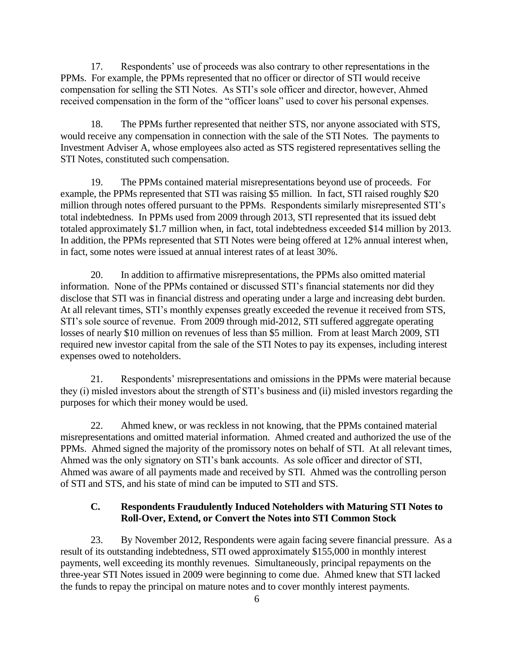17. Respondents' use of proceeds was also contrary to other representations in the PPMs. For example, the PPMs represented that no officer or director of STI would receive compensation for selling the STI Notes. As STI's sole officer and director, however, Ahmed received compensation in the form of the "officer loans" used to cover his personal expenses.

18. The PPMs further represented that neither STS, nor anyone associated with STS, would receive any compensation in connection with the sale of the STI Notes. The payments to Investment Adviser A, whose employees also acted as STS registered representatives selling the STI Notes, constituted such compensation.

19. The PPMs contained material misrepresentations beyond use of proceeds. For example, the PPMs represented that STI was raising \$5 million. In fact, STI raised roughly \$20 million through notes offered pursuant to the PPMs. Respondents similarly misrepresented STI's total indebtedness. In PPMs used from 2009 through 2013, STI represented that its issued debt totaled approximately \$1.7 million when, in fact, total indebtedness exceeded \$14 million by 2013. In addition, the PPMs represented that STI Notes were being offered at 12% annual interest when, in fact, some notes were issued at annual interest rates of at least 30%.

20. In addition to affirmative misrepresentations, the PPMs also omitted material information. None of the PPMs contained or discussed STI's financial statements nor did they disclose that STI was in financial distress and operating under a large and increasing debt burden. At all relevant times, STI's monthly expenses greatly exceeded the revenue it received from STS, STI's sole source of revenue. From 2009 through mid-2012, STI suffered aggregate operating losses of nearly \$10 million on revenues of less than \$5 million. From at least March 2009, STI required new investor capital from the sale of the STI Notes to pay its expenses, including interest expenses owed to noteholders.

21. Respondents' misrepresentations and omissions in the PPMs were material because they (i) misled investors about the strength of STI's business and (ii) misled investors regarding the purposes for which their money would be used.

22. Ahmed knew, or was reckless in not knowing, that the PPMs contained material misrepresentations and omitted material information. Ahmed created and authorized the use of the PPMs. Ahmed signed the majority of the promissory notes on behalf of STI. At all relevant times, Ahmed was the only signatory on STI's bank accounts. As sole officer and director of STI, Ahmed was aware of all payments made and received by STI. Ahmed was the controlling person of STI and STS, and his state of mind can be imputed to STI and STS.

## **C. Respondents Fraudulently Induced Noteholders with Maturing STI Notes to Roll-Over, Extend, or Convert the Notes into STI Common Stock**

23. By November 2012, Respondents were again facing severe financial pressure. As a result of its outstanding indebtedness, STI owed approximately \$155,000 in monthly interest payments, well exceeding its monthly revenues. Simultaneously, principal repayments on the three-year STI Notes issued in 2009 were beginning to come due. Ahmed knew that STI lacked the funds to repay the principal on mature notes and to cover monthly interest payments.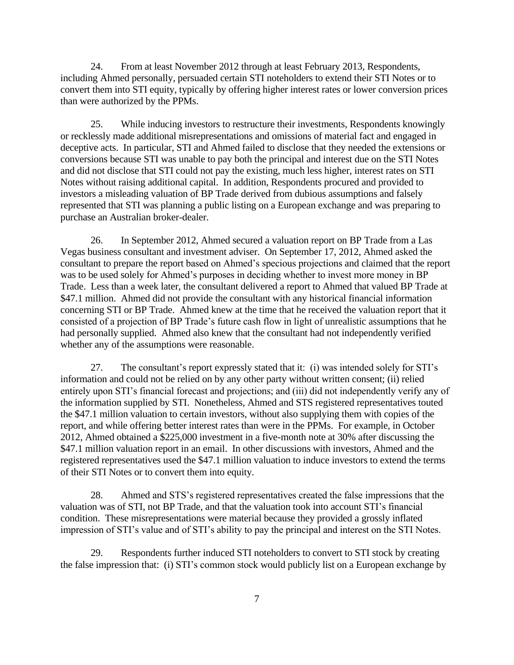24. From at least November 2012 through at least February 2013, Respondents, including Ahmed personally, persuaded certain STI noteholders to extend their STI Notes or to convert them into STI equity, typically by offering higher interest rates or lower conversion prices than were authorized by the PPMs.

25. While inducing investors to restructure their investments, Respondents knowingly or recklessly made additional misrepresentations and omissions of material fact and engaged in deceptive acts. In particular, STI and Ahmed failed to disclose that they needed the extensions or conversions because STI was unable to pay both the principal and interest due on the STI Notes and did not disclose that STI could not pay the existing, much less higher, interest rates on STI Notes without raising additional capital. In addition, Respondents procured and provided to investors a misleading valuation of BP Trade derived from dubious assumptions and falsely represented that STI was planning a public listing on a European exchange and was preparing to purchase an Australian broker-dealer.

26. In September 2012, Ahmed secured a valuation report on BP Trade from a Las Vegas business consultant and investment adviser. On September 17, 2012, Ahmed asked the consultant to prepare the report based on Ahmed's specious projections and claimed that the report was to be used solely for Ahmed's purposes in deciding whether to invest more money in BP Trade. Less than a week later, the consultant delivered a report to Ahmed that valued BP Trade at \$47.1 million. Ahmed did not provide the consultant with any historical financial information concerning STI or BP Trade. Ahmed knew at the time that he received the valuation report that it consisted of a projection of BP Trade's future cash flow in light of unrealistic assumptions that he had personally supplied. Ahmed also knew that the consultant had not independently verified whether any of the assumptions were reasonable.

27. The consultant's report expressly stated that it: (i) was intended solely for STI's information and could not be relied on by any other party without written consent; (ii) relied entirely upon STI's financial forecast and projections; and (iii) did not independently verify any of the information supplied by STI. Nonetheless, Ahmed and STS registered representatives touted the \$47.1 million valuation to certain investors, without also supplying them with copies of the report, and while offering better interest rates than were in the PPMs. For example, in October 2012, Ahmed obtained a \$225,000 investment in a five-month note at 30% after discussing the \$47.1 million valuation report in an email. In other discussions with investors, Ahmed and the registered representatives used the \$47.1 million valuation to induce investors to extend the terms of their STI Notes or to convert them into equity.

28. Ahmed and STS's registered representatives created the false impressions that the valuation was of STI, not BP Trade, and that the valuation took into account STI's financial condition. These misrepresentations were material because they provided a grossly inflated impression of STI's value and of STI's ability to pay the principal and interest on the STI Notes.

29. Respondents further induced STI noteholders to convert to STI stock by creating the false impression that: (i) STI's common stock would publicly list on a European exchange by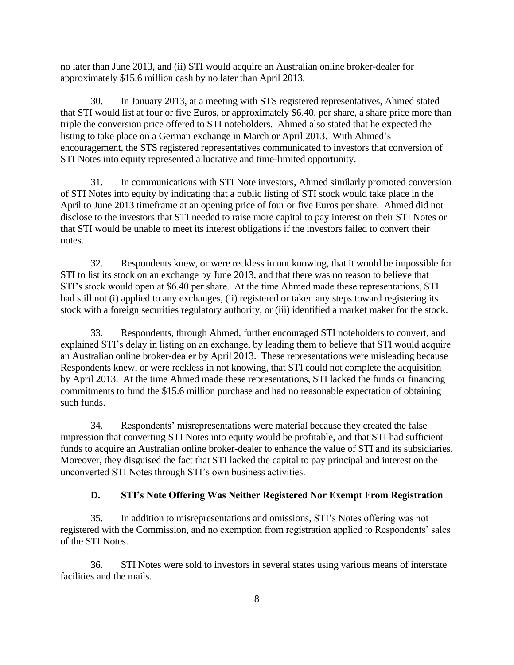no later than June 2013, and (ii) STI would acquire an Australian online broker-dealer for approximately \$15.6 million cash by no later than April 2013.

30. In January 2013, at a meeting with STS registered representatives, Ahmed stated that STI would list at four or five Euros, or approximately \$6.40, per share, a share price more than triple the conversion price offered to STI noteholders. Ahmed also stated that he expected the listing to take place on a German exchange in March or April 2013. With Ahmed's encouragement, the STS registered representatives communicated to investors that conversion of STI Notes into equity represented a lucrative and time-limited opportunity.

31. In communications with STI Note investors, Ahmed similarly promoted conversion of STI Notes into equity by indicating that a public listing of STI stock would take place in the April to June 2013 timeframe at an opening price of four or five Euros per share. Ahmed did not disclose to the investors that STI needed to raise more capital to pay interest on their STI Notes or that STI would be unable to meet its interest obligations if the investors failed to convert their notes.

32. Respondents knew, or were reckless in not knowing, that it would be impossible for STI to list its stock on an exchange by June 2013, and that there was no reason to believe that STI's stock would open at \$6.40 per share. At the time Ahmed made these representations, STI had still not (i) applied to any exchanges, (ii) registered or taken any steps toward registering its stock with a foreign securities regulatory authority, or (iii) identified a market maker for the stock.

33. Respondents, through Ahmed, further encouraged STI noteholders to convert, and explained STI's delay in listing on an exchange, by leading them to believe that STI would acquire an Australian online broker-dealer by April 2013. These representations were misleading because Respondents knew, or were reckless in not knowing, that STI could not complete the acquisition by April 2013. At the time Ahmed made these representations, STI lacked the funds or financing commitments to fund the \$15.6 million purchase and had no reasonable expectation of obtaining such funds.

34. Respondents' misrepresentations were material because they created the false impression that converting STI Notes into equity would be profitable, and that STI had sufficient funds to acquire an Australian online broker-dealer to enhance the value of STI and its subsidiaries. Moreover, they disguised the fact that STI lacked the capital to pay principal and interest on the unconverted STI Notes through STI's own business activities.

## **D. STI's Note Offering Was Neither Registered Nor Exempt From Registration**

35. In addition to misrepresentations and omissions, STI's Notes offering was not registered with the Commission, and no exemption from registration applied to Respondents' sales of the STI Notes.

36. STI Notes were sold to investors in several states using various means of interstate facilities and the mails.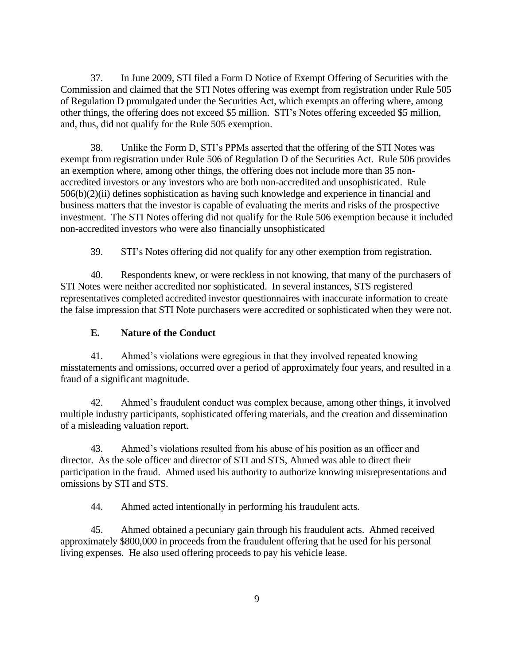37. In June 2009, STI filed a Form D Notice of Exempt Offering of Securities with the Commission and claimed that the STI Notes offering was exempt from registration under Rule 505 of Regulation D promulgated under the Securities Act, which exempts an offering where, among other things, the offering does not exceed \$5 million. STI's Notes offering exceeded \$5 million, and, thus, did not qualify for the Rule 505 exemption.

38. Unlike the Form D, STI's PPMs asserted that the offering of the STI Notes was exempt from registration under Rule 506 of Regulation D of the Securities Act. Rule 506 provides an exemption where, among other things, the offering does not include more than 35 nonaccredited investors or any investors who are both non-accredited and unsophisticated. Rule 506(b)(2)(ii) defines sophistication as having such knowledge and experience in financial and business matters that the investor is capable of evaluating the merits and risks of the prospective investment. The STI Notes offering did not qualify for the Rule 506 exemption because it included non-accredited investors who were also financially unsophisticated

39. STI's Notes offering did not qualify for any other exemption from registration.

40. Respondents knew, or were reckless in not knowing, that many of the purchasers of STI Notes were neither accredited nor sophisticated. In several instances, STS registered representatives completed accredited investor questionnaires with inaccurate information to create the false impression that STI Note purchasers were accredited or sophisticated when they were not.

## **E. Nature of the Conduct**

41. Ahmed's violations were egregious in that they involved repeated knowing misstatements and omissions, occurred over a period of approximately four years, and resulted in a fraud of a significant magnitude.

42. Ahmed's fraudulent conduct was complex because, among other things, it involved multiple industry participants, sophisticated offering materials, and the creation and dissemination of a misleading valuation report.

43. Ahmed's violations resulted from his abuse of his position as an officer and director. As the sole officer and director of STI and STS, Ahmed was able to direct their participation in the fraud. Ahmed used his authority to authorize knowing misrepresentations and omissions by STI and STS.

44. Ahmed acted intentionally in performing his fraudulent acts.

45. Ahmed obtained a pecuniary gain through his fraudulent acts. Ahmed received approximately \$800,000 in proceeds from the fraudulent offering that he used for his personal living expenses. He also used offering proceeds to pay his vehicle lease.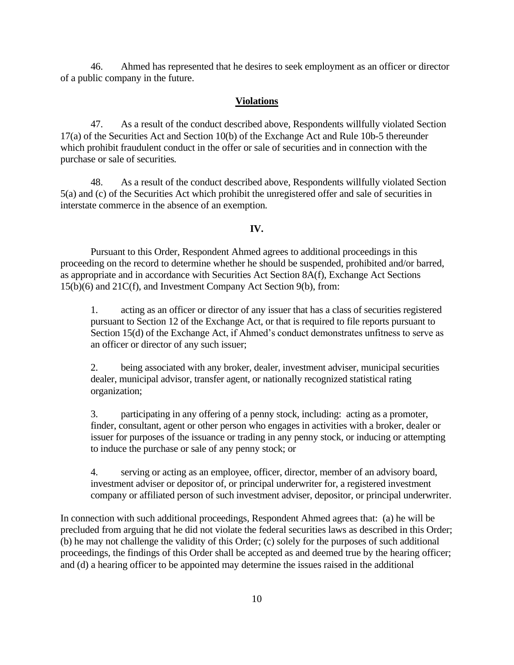46. Ahmed has represented that he desires to seek employment as an officer or director of a public company in the future.

#### **Violations**

47. As a result of the conduct described above, Respondents willfully violated Section 17(a) of the Securities Act and Section 10(b) of the Exchange Act and Rule 10b-5 thereunder which prohibit fraudulent conduct in the offer or sale of securities and in connection with the purchase or sale of securities*.*

48. As a result of the conduct described above, Respondents willfully violated Section 5(a) and (c) of the Securities Act which prohibit the unregistered offer and sale of securities in interstate commerce in the absence of an exemption*.*

#### **IV.**

Pursuant to this Order, Respondent Ahmed agrees to additional proceedings in this proceeding on the record to determine whether he should be suspended, prohibited and/or barred, as appropriate and in accordance with Securities Act Section 8A(f), Exchange Act Sections 15(b)(6) and 21C(f), and Investment Company Act Section 9(b), from:

1. acting as an officer or director of any issuer that has a class of securities registered pursuant to Section 12 of the Exchange Act, or that is required to file reports pursuant to Section 15(d) of the Exchange Act, if Ahmed's conduct demonstrates unfitness to serve as an officer or director of any such issuer;

2. being associated with any broker, dealer, investment adviser, municipal securities dealer, municipal advisor, transfer agent, or nationally recognized statistical rating organization;

3. participating in any offering of a penny stock, including: acting as a promoter, finder, consultant, agent or other person who engages in activities with a broker, dealer or issuer for purposes of the issuance or trading in any penny stock, or inducing or attempting to induce the purchase or sale of any penny stock; or

4. serving or acting as an employee, officer, director, member of an advisory board, investment adviser or depositor of, or principal underwriter for, a registered investment company or affiliated person of such investment adviser, depositor, or principal underwriter.

In connection with such additional proceedings, Respondent Ahmed agrees that: (a) he will be precluded from arguing that he did not violate the federal securities laws as described in this Order; (b) he may not challenge the validity of this Order; (c) solely for the purposes of such additional proceedings, the findings of this Order shall be accepted as and deemed true by the hearing officer; and (d) a hearing officer to be appointed may determine the issues raised in the additional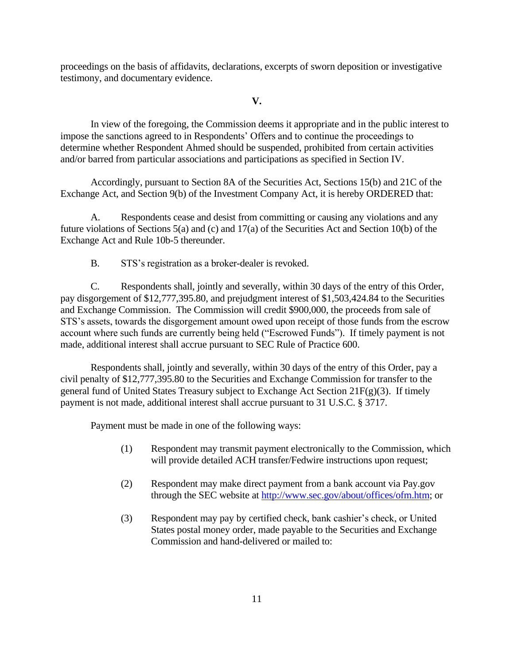proceedings on the basis of affidavits, declarations, excerpts of sworn deposition or investigative testimony, and documentary evidence.

### **V.**

In view of the foregoing, the Commission deems it appropriate and in the public interest to impose the sanctions agreed to in Respondents' Offers and to continue the proceedings to determine whether Respondent Ahmed should be suspended, prohibited from certain activities and/or barred from particular associations and participations as specified in Section IV.

Accordingly, pursuant to Section 8A of the Securities Act, Sections 15(b) and 21C of the Exchange Act, and Section 9(b) of the Investment Company Act, it is hereby ORDERED that:

A. Respondents cease and desist from committing or causing any violations and any future violations of Sections 5(a) and (c) and 17(a) of the Securities Act and Section 10(b) of the Exchange Act and Rule 10b-5 thereunder.

B. STS's registration as a broker-dealer is revoked.

C. Respondents shall, jointly and severally, within 30 days of the entry of this Order, pay disgorgement of \$12,777,395.80, and prejudgment interest of \$1,503,424.84 to the Securities and Exchange Commission. The Commission will credit \$900,000, the proceeds from sale of STS's assets, towards the disgorgement amount owed upon receipt of those funds from the escrow account where such funds are currently being held ("Escrowed Funds"). If timely payment is not made, additional interest shall accrue pursuant to SEC Rule of Practice 600.

Respondents shall, jointly and severally, within 30 days of the entry of this Order, pay a civil penalty of \$12,777,395.80 to the Securities and Exchange Commission for transfer to the general fund of United States Treasury subject to Exchange Act Section 21F(g)(3). If timely payment is not made, additional interest shall accrue pursuant to 31 U.S.C. § 3717.

Payment must be made in one of the following ways:

- (1) Respondent may transmit payment electronically to the Commission, which will provide detailed ACH transfer/Fedwire instructions upon request;
- (2) Respondent may make direct payment from a bank account via Pay.gov through the SEC website at http://www.sec.gov/about/offices/ofm.htm; or
- (3) Respondent may pay by certified check, bank cashier's check, or United States postal money order, made payable to the Securities and Exchange Commission and hand-delivered or mailed to: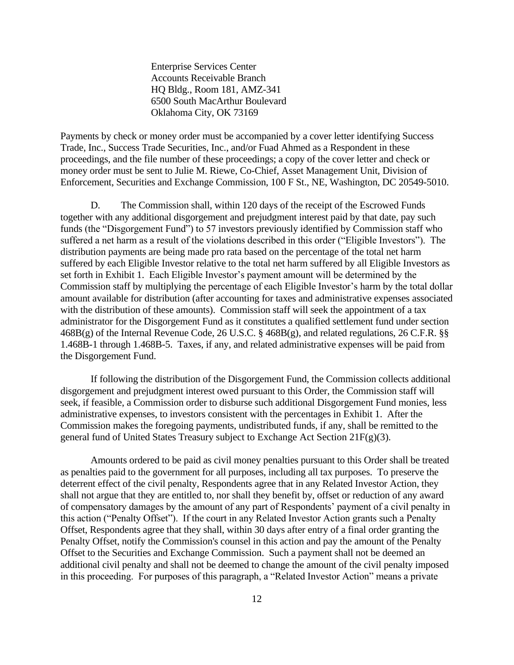Enterprise Services Center Accounts Receivable Branch HQ Bldg., Room 181, AMZ-341 6500 South MacArthur Boulevard Oklahoma City, OK 73169

Payments by check or money order must be accompanied by a cover letter identifying Success Trade, Inc., Success Trade Securities, Inc., and/or Fuad Ahmed as a Respondent in these proceedings, and the file number of these proceedings; a copy of the cover letter and check or money order must be sent to Julie M. Riewe, Co-Chief, Asset Management Unit, Division of Enforcement, Securities and Exchange Commission, 100 F St., NE, Washington, DC 20549-5010.

D. The Commission shall, within 120 days of the receipt of the Escrowed Funds together with any additional disgorgement and prejudgment interest paid by that date, pay such funds (the "Disgorgement Fund") to 57 investors previously identified by Commission staff who suffered a net harm as a result of the violations described in this order ("Eligible Investors"). The distribution payments are being made pro rata based on the percentage of the total net harm suffered by each Eligible Investor relative to the total net harm suffered by all Eligible Investors as set forth in Exhibit 1. Each Eligible Investor's payment amount will be determined by the Commission staff by multiplying the percentage of each Eligible Investor's harm by the total dollar amount available for distribution (after accounting for taxes and administrative expenses associated with the distribution of these amounts). Commission staff will seek the appointment of a tax administrator for the Disgorgement Fund as it constitutes a qualified settlement fund under section 468B(g) of the Internal Revenue Code, 26 U.S.C. § 468B(g), and related regulations, 26 C.F.R. §§ 1.468B-1 through 1.468B-5. Taxes, if any, and related administrative expenses will be paid from the Disgorgement Fund.

If following the distribution of the Disgorgement Fund, the Commission collects additional disgorgement and prejudgment interest owed pursuant to this Order, the Commission staff will seek, if feasible, a Commission order to disburse such additional Disgorgement Fund monies, less administrative expenses, to investors consistent with the percentages in Exhibit 1. After the Commission makes the foregoing payments, undistributed funds, if any, shall be remitted to the general fund of United States Treasury subject to Exchange Act Section 21F(g)(3)*.*

Amounts ordered to be paid as civil money penalties pursuant to this Order shall be treated as penalties paid to the government for all purposes, including all tax purposes. To preserve the deterrent effect of the civil penalty, Respondents agree that in any Related Investor Action, they shall not argue that they are entitled to, nor shall they benefit by, offset or reduction of any award of compensatory damages by the amount of any part of Respondents' payment of a civil penalty in this action ("Penalty Offset"). If the court in any Related Investor Action grants such a Penalty Offset, Respondents agree that they shall, within 30 days after entry of a final order granting the Penalty Offset, notify the Commission's counsel in this action and pay the amount of the Penalty Offset to the Securities and Exchange Commission. Such a payment shall not be deemed an additional civil penalty and shall not be deemed to change the amount of the civil penalty imposed in this proceeding. For purposes of this paragraph, a "Related Investor Action" means a private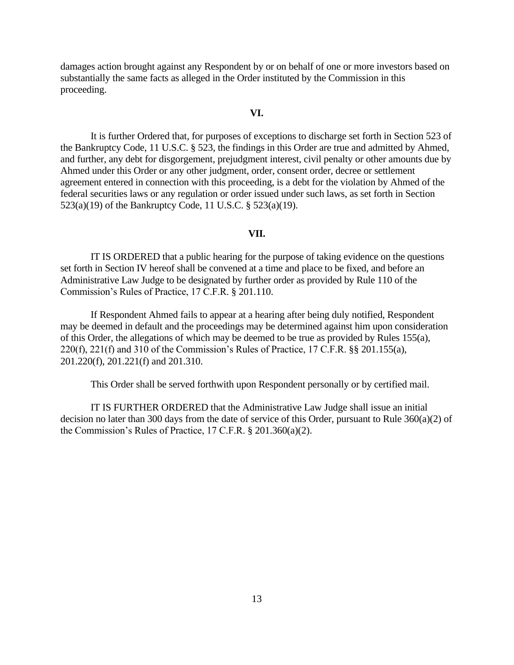damages action brought against any Respondent by or on behalf of one or more investors based on substantially the same facts as alleged in the Order instituted by the Commission in this proceeding.

### **VI.**

It is further Ordered that, for purposes of exceptions to discharge set forth in Section 523 of the Bankruptcy Code, 11 U.S.C. § 523, the findings in this Order are true and admitted by Ahmed, and further, any debt for disgorgement, prejudgment interest, civil penalty or other amounts due by Ahmed under this Order or any other judgment, order, consent order, decree or settlement agreement entered in connection with this proceeding, is a debt for the violation by Ahmed of the federal securities laws or any regulation or order issued under such laws, as set forth in Section 523(a)(19) of the Bankruptcy Code, 11 U.S.C. § 523(a)(19).

#### **VII.**

IT IS ORDERED that a public hearing for the purpose of taking evidence on the questions set forth in Section IV hereof shall be convened at a time and place to be fixed, and before an Administrative Law Judge to be designated by further order as provided by Rule 110 of the Commission's Rules of Practice, 17 C.F.R. § 201.110.

If Respondent Ahmed fails to appear at a hearing after being duly notified, Respondent may be deemed in default and the proceedings may be determined against him upon consideration of this Order, the allegations of which may be deemed to be true as provided by Rules 155(a), 220(f), 221(f) and 310 of the Commission's Rules of Practice, 17 C.F.R. §§ 201.155(a), 201.220(f), 201.221(f) and 201.310.

This Order shall be served forthwith upon Respondent personally or by certified mail.

IT IS FURTHER ORDERED that the Administrative Law Judge shall issue an initial decision no later than 300 days from the date of service of this Order, pursuant to Rule 360(a)(2) of the Commission's Rules of Practice, 17 C.F.R. § 201.360(a)(2).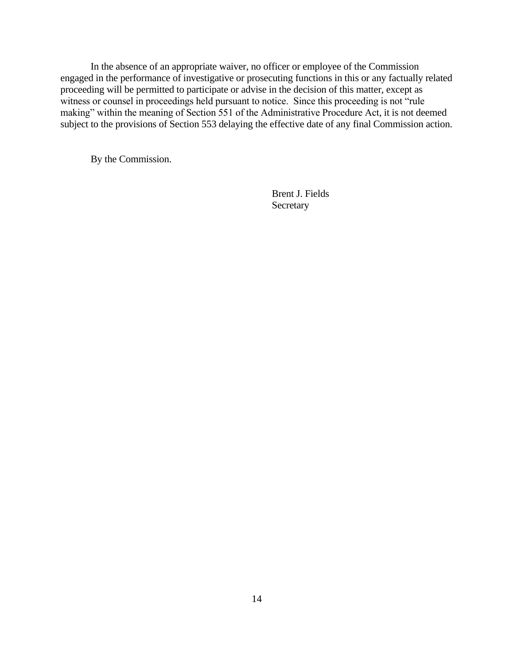In the absence of an appropriate waiver, no officer or employee of the Commission engaged in the performance of investigative or prosecuting functions in this or any factually related proceeding will be permitted to participate or advise in the decision of this matter, except as witness or counsel in proceedings held pursuant to notice. Since this proceeding is not "rule" making" within the meaning of Section 551 of the Administrative Procedure Act, it is not deemed subject to the provisions of Section 553 delaying the effective date of any final Commission action.

By the Commission.

Brent J. Fields **Secretary**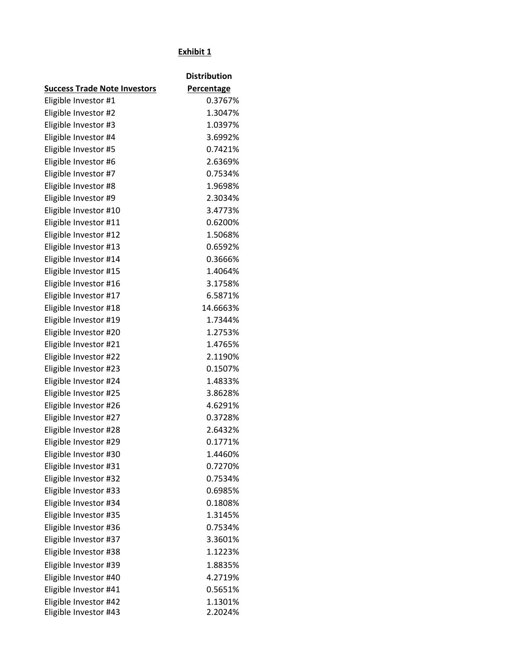# **Exhibit 1**

|                                     | <b>Distribution</b> |
|-------------------------------------|---------------------|
| <b>Success Trade Note Investors</b> | <b>Percentage</b>   |
| Eligible Investor #1                | 0.3767%             |
| Eligible Investor #2                | 1.3047%             |
| Eligible Investor #3                | 1.0397%             |
| Eligible Investor #4                | 3.6992%             |
| Eligible Investor #5                | 0.7421%             |
| Eligible Investor #6                | 2.6369%             |
| Eligible Investor #7                | 0.7534%             |
| Eligible Investor #8                | 1.9698%             |
| Eligible Investor #9                | 2.3034%             |
| Eligible Investor #10               | 3.4773%             |
| Eligible Investor #11               | 0.6200%             |
| Eligible Investor #12               | 1.5068%             |
| Eligible Investor #13               | 0.6592%             |
| Eligible Investor #14               | 0.3666%             |
| Eligible Investor #15               | 1.4064%             |
| Eligible Investor #16               | 3.1758%             |
| Eligible Investor #17               | 6.5871%             |
| Eligible Investor #18               | 14.6663%            |
| Eligible Investor #19               | 1.7344%             |
| Eligible Investor #20               | 1.2753%             |
| Eligible Investor #21               | 1.4765%             |
| Eligible Investor #22               | 2.1190%             |
| Eligible Investor #23               | 0.1507%             |
| Eligible Investor #24               | 1.4833%             |
| Eligible Investor #25               | 3.8628%             |
| Eligible Investor #26               | 4.6291%             |
| Eligible Investor #27               | 0.3728%             |
| Eligible Investor #28               | 2.6432%             |
| Eligible Investor #29               | 0.1771%             |
| Eligible Investor #30               | 1.4460%             |
| Eligible Investor #31               | 0.7270%             |
| Eligible Investor #32               | 0.7534%             |
| Eligible Investor #33               | 0.6985%             |
| Eligible Investor #34               | 0.1808%             |
| Eligible Investor #35               | 1.3145%             |
| Eligible Investor #36               | 0.7534%             |
| Eligible Investor #37               | 3.3601%             |
| Eligible Investor #38               | 1.1223%             |
| Eligible Investor #39               | 1.8835%             |
| Eligible Investor #40               | 4.2719%             |
| Eligible Investor #41               | 0.5651%             |
| Eligible Investor #42               | 1.1301%             |
| Eligible Investor #43               | 2.2024%             |